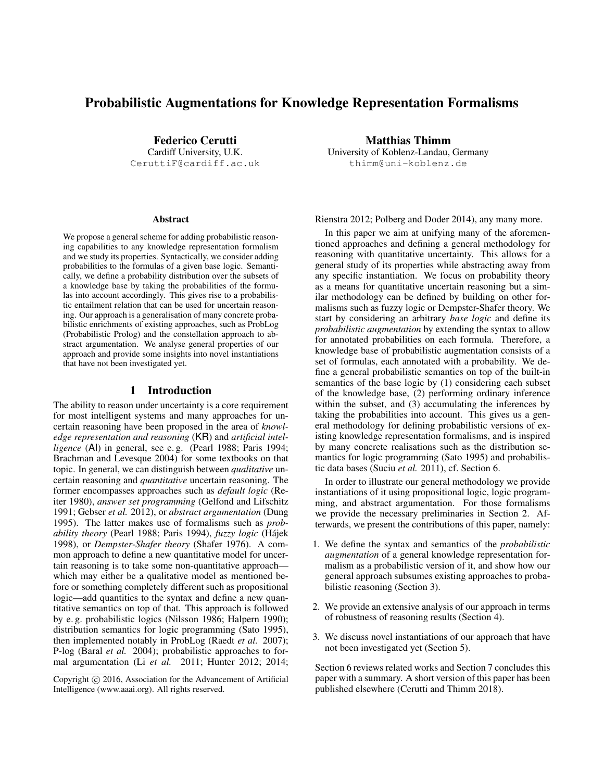# Probabilistic Augmentations for Knowledge Representation Formalisms

Federico Cerutti Cardiff University, U.K. CeruttiF@cardiff.ac.uk

#### **Abstract**

We propose a general scheme for adding probabilistic reasoning capabilities to any knowledge representation formalism and we study its properties. Syntactically, we consider adding probabilities to the formulas of a given base logic. Semantically, we define a probability distribution over the subsets of a knowledge base by taking the probabilities of the formulas into account accordingly. This gives rise to a probabilistic entailment relation that can be used for uncertain reasoning. Our approach is a generalisation of many concrete probabilistic enrichments of existing approaches, such as ProbLog (Probabilistic Prolog) and the constellation approach to abstract argumentation. We analyse general properties of our approach and provide some insights into novel instantiations that have not been investigated yet.

### 1 Introduction

The ability to reason under uncertainty is a core requirement for most intelligent systems and many approaches for uncertain reasoning have been proposed in the area of *knowledge representation and reasoning* (KR) and *artificial intelligence* (AI) in general, see e. g. (Pearl 1988; Paris 1994; Brachman and Levesque 2004) for some textbooks on that topic. In general, we can distinguish between *qualitative* uncertain reasoning and *quantitative* uncertain reasoning. The former encompasses approaches such as *default logic* (Reiter 1980), *answer set programming* (Gelfond and Lifschitz 1991; Gebser *et al.* 2012), or *abstract argumentation* (Dung 1995). The latter makes use of formalisms such as *probability theory* (Pearl 1988; Paris 1994), *fuzzy logic* (Hajek ´ 1998), or *Dempster-Shafer theory* (Shafer 1976). A common approach to define a new quantitative model for uncertain reasoning is to take some non-quantitative approach which may either be a qualitative model as mentioned before or something completely different such as propositional logic—add quantities to the syntax and define a new quantitative semantics on top of that. This approach is followed by e. g. probabilistic logics (Nilsson 1986; Halpern 1990); distribution semantics for logic programming (Sato 1995), then implemented notably in ProbLog (Raedt *et al.* 2007); P-log (Baral *et al.* 2004); probabilistic approaches to formal argumentation (Li *et al.* 2011; Hunter 2012; 2014;

Matthias Thimm University of Koblenz-Landau, Germany thimm@uni-koblenz.de

Rienstra 2012; Polberg and Doder 2014), any many more.

In this paper we aim at unifying many of the aforementioned approaches and defining a general methodology for reasoning with quantitative uncertainty. This allows for a general study of its properties while abstracting away from any specific instantiation. We focus on probability theory as a means for quantitative uncertain reasoning but a similar methodology can be defined by building on other formalisms such as fuzzy logic or Dempster-Shafer theory. We start by considering an arbitrary *base logic* and define its *probabilistic augmentation* by extending the syntax to allow for annotated probabilities on each formula. Therefore, a knowledge base of probabilistic augmentation consists of a set of formulas, each annotated with a probability. We define a general probabilistic semantics on top of the built-in semantics of the base logic by (1) considering each subset of the knowledge base, (2) performing ordinary inference within the subset, and (3) accumulating the inferences by taking the probabilities into account. This gives us a general methodology for defining probabilistic versions of existing knowledge representation formalisms, and is inspired by many concrete realisations such as the distribution semantics for logic programming (Sato 1995) and probabilistic data bases (Suciu *et al.* 2011), cf. Section 6.

In order to illustrate our general methodology we provide instantiations of it using propositional logic, logic programming, and abstract argumentation. For those formalisms we provide the necessary preliminaries in Section 2. Afterwards, we present the contributions of this paper, namely:

- 1. We define the syntax and semantics of the *probabilistic augmentation* of a general knowledge representation formalism as a probabilistic version of it, and show how our general approach subsumes existing approaches to probabilistic reasoning (Section 3).
- 2. We provide an extensive analysis of our approach in terms of robustness of reasoning results (Section 4).
- 3. We discuss novel instantiations of our approach that have not been investigated yet (Section 5).

Section 6 reviews related works and Section 7 concludes this paper with a summary. A short version of this paper has been published elsewhere (Cerutti and Thimm 2018).

Copyright (c) 2016, Association for the Advancement of Artificial Intelligence (www.aaai.org). All rights reserved.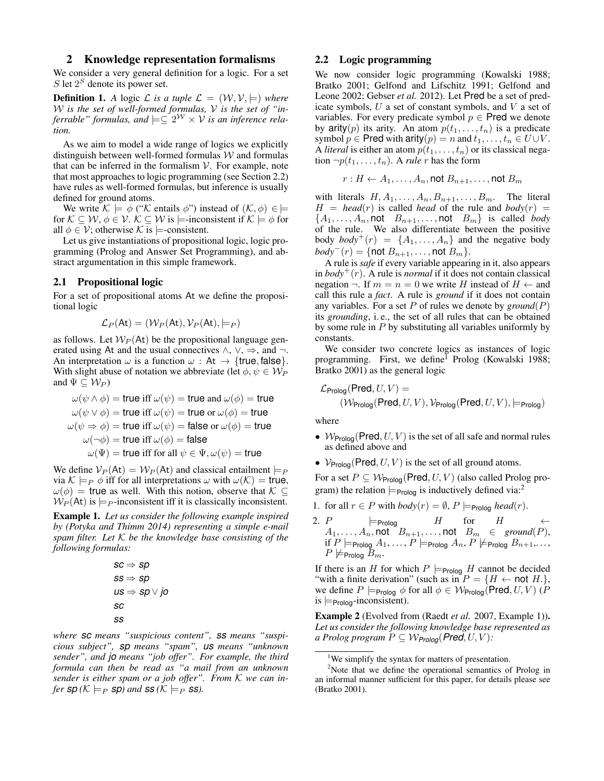#### 2 Knowledge representation formalisms

We consider a very general definition for a logic. For a set  $S$  let  $2^S$  denote its power set.

**Definition 1.** *A* logic *L* is a tuple  $\mathcal{L} = (\mathcal{W}, \mathcal{V}, \models)$  where W *is the set of well-formed formulas,* V *is the set of "inferrable" formulas, and*  $\models \subseteq 2^W \times V$  *is an inference relation.*

As we aim to model a wide range of logics we explicitly distinguish between well-formed formulas  $W$  and formulas that can be inferred in the formalism  $V$ . For example, note that most approaches to logic programming (see Section 2.2) have rules as well-formed formulas, but inference is usually defined for ground atoms.

We write  $\mathcal{K} \models \phi$  (" $\mathcal{K}$  entails  $\phi$ ") instead of  $(\mathcal{K}, \phi) \in \models$ for  $\mathcal{K} \subseteq \mathcal{W}, \phi \in \mathcal{V}. \ \mathcal{K} \subseteq \mathcal{W}$  is  $\models$ -inconsistent if  $\mathcal{K} \models \phi$  for all  $\phi \in \mathcal{V}$ ; otherwise K is  $\models$ -consistent.

Let us give instantiations of propositional logic, logic programming (Prolog and Answer Set Programming), and abstract argumentation in this simple framework.

## 2.1 Propositional logic

For a set of propositional atoms At we define the propositional logic

$$
\mathcal{L}_P(\mathsf{At}) = (\mathcal{W}_P(\mathsf{At}), \mathcal{V}_P(\mathsf{At}), \models_P)
$$

as follows. Let  $W_P$  (At) be the propositional language generated using At and the usual connectives  $\land$ ,  $\lor$ ,  $\Rightarrow$ , and  $\neg$ . An interpretation  $\omega$  is a function  $\omega$  : At  $\rightarrow$  {true, false}. With slight abuse of notation we abbreviate (let  $\phi, \psi \in \mathcal{W}_P$ and  $\Psi \subseteq W_P$ )

$$
\omega(\psi \wedge \phi) = \text{true iff } \omega(\psi) = \text{true and } \omega(\phi) = \text{true}
$$
  

$$
\omega(\psi \vee \phi) = \text{true iff } \omega(\psi) = \text{true or } \omega(\phi) = \text{true}
$$
  

$$
\omega(\psi \Rightarrow \phi) = \text{true iff } \omega(\psi) = \text{false or } \omega(\phi) = \text{true}
$$
  

$$
\omega(\neg \phi) = \text{true iff } \omega(\phi) = \text{false}
$$
  

$$
\omega(\Psi) = \text{true iff for all } \psi \in \Psi, \omega(\psi) = \text{true}
$$

We define  $V_P(\text{At}) = W_P(\text{At})$  and classical entailment  $\models_P$ via  $\mathcal{K} \models_P \phi$  iff for all interpretations  $\omega$  with  $\omega(\mathcal{K}) = \mathsf{true}$ ,  $\omega(\phi)$  = true as well. With this notion, observe that  $\mathcal{K} \subseteq$  $W_P$ (At) is  $\models_P$ -inconsistent iff it is classically inconsistent.

Example 1. *Let us consider the following example inspired by (Potyka and Thimm 2014) representing a simple e-mail spam filter. Let* K *be the knowledge base consisting of the following formulas:*

$$
\begin{aligned} sc &\Rightarrow sp \\ ss &\Rightarrow sp \\ us &\Rightarrow sp \lor jo \\ sc \\ ss \end{aligned}
$$

*where sc means "suspicious content", ss means "suspicious subject", sp means "spam", us means "unknown sender", and jo means "job offer". For example, the third formula can then be read as "a mail from an unknown sender is either spam or a job offer". From* K *we can infer sp*  $(K \models_P sp)$  *and ss*  $(K \models_P ss)$ .

#### 2.2 Logic programming

We now consider logic programming (Kowalski 1988; Bratko 2001; Gelfond and Lifschitz 1991; Gelfond and Leone 2002; Gebser *et al.* 2012). Let Pred be a set of predicate symbols,  $U$  a set of constant symbols, and  $V$  a set of variables. For every predicate symbol  $p \in Pred$  we denote by arity(p) its arity. An atom  $p(t_1, \ldots, t_n)$  is a predicate symbol  $p \in \text{Pred with arity}(p) = n \text{ and } t_1, \ldots, t_n \in U \cup V$ . A *literal* is either an atom  $p(t_1, \ldots, t_n)$  or its classical negation  $\neg p(t_1, \ldots, t_n)$ . A *rule* r has the form

$$
r: H \leftarrow A_1, \ldots, A_n, \text{not } B_{n+1}, \ldots, \text{not } B_m
$$

with literals  $H, A_1, \ldots, A_n, B_{n+1}, \ldots, B_m$ . The literal  $H = head(r)$  is called *head* of the rule and *body*(r) =  $\{A_1, \ldots, A_n, \text{not } B_{n+1}, \ldots, \text{not } B_m\}$  is called *body* of the rule. We also differentiate between the positive body  $body^+(r) = \{A_1, \ldots, A_n\}$  and the negative body  $body^-(r) = \{ \text{not } B_{n+1}, \ldots, \text{not } B_m \}.$ 

A rule is *safe* if every variable appearing in it, also appears in  $body^+(r)$ . A rule is *normal* if it does not contain classical negation  $\neg$ . If  $m = n = 0$  we write H instead of  $H \leftarrow$  and call this rule a *fact*. A rule is *ground* if it does not contain any variables. For a set P of rules we denote by *ground*(P) its *grounding*, i. e., the set of all rules that can be obtained by some rule in  $P$  by substituting all variables uniformly by constants.

We consider two concrete logics as instances of logic programming. First, we define<sup>1</sup> Prolog (Kowalski 1988; Bratko 2001) as the general logic

$$
\mathcal{L}_{\text{Prolog}}(\text{Pred}, U, V) = \newline (\mathcal{W}_{\text{Prolog}}(\text{Pred}, U, V), \mathcal{V}_{\text{Prolog}}(\text{Pred}, U, V), \models_{\text{Prolog}})
$$

where

- $W_{\text{Proloq}}(\text{Pred}, U, V)$  is the set of all safe and normal rules as defined above and
- $V_{\text{Prolog}}(\text{Pred}, U, V)$  is the set of all ground atoms.

For a set  $P \subseteq W_{\text{Prolog}}(\text{Pred}, U, V)$  (also called Prolog program) the relation  $\models_{\text{Prolog}}$  is inductively defined via:<sup>2</sup>

- 1. for all  $r \in P$  with  $body(r) = \emptyset$ ,  $P \models_{\text{Prolog}} head(r)$ .
- 2. P  $\models$  Prolog H for H  $\leftarrow$  $A_1, \ldots, A_n,$  not  $B_{n+1}, \ldots,$  not  $B_m \in \mathit{ground}(P),$ if  $P \models_{\mathsf{Prolog}} A_1, \ldots, P \models_{\mathsf{Prolog}} A_n, P \not\models_{\mathsf{Prolog}} B_{n+1}, \ldots,$  $P \not\models_{\mathsf{Prolog}} B_m$ .

If there is an H for which  $P \models_{\text{Prolog}} H$  cannot be decided "with a finite derivation" (such as in  $P = \{H \leftarrow \text{not } H.\}$ , we define  $P \models_{\mathsf{Prolog}} \phi$  for all  $\phi \in \mathcal{W}_{\mathsf{Prolog}}(\mathsf{Pred}, U, V)$  (P is  $\models$ Prolog-inconsistent).

Example 2 (Evolved from (Raedt *et al.* 2007, Example 1)). *Let us consider the following knowledge base represented as a Prolog program*  $P \subseteq W_{\text{Prolog}}(\text{Pred}, U, V)$ :

<sup>&</sup>lt;sup>1</sup>We simplify the syntax for matters of presentation.

<sup>&</sup>lt;sup>2</sup>Note that we define the operational semantics of Prolog in an informal manner sufficient for this paper, for details please see (Bratko 2001).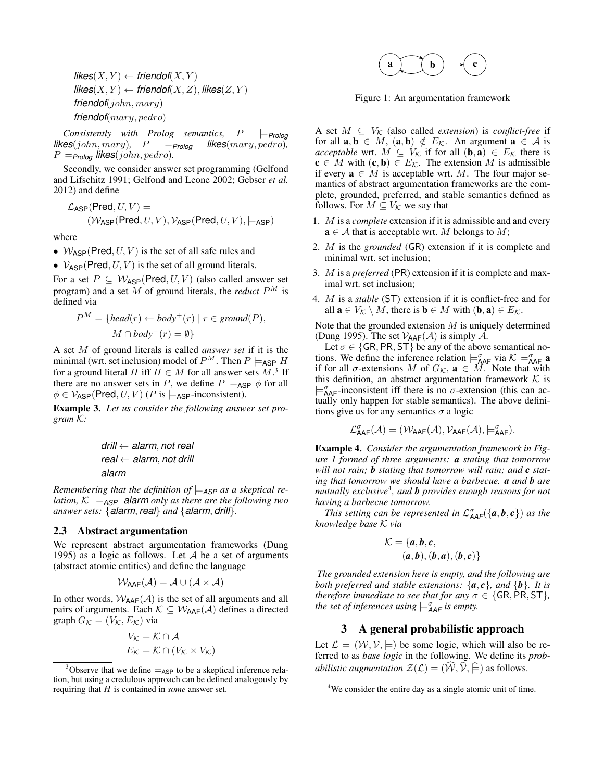$\mathsf{likes}(X, Y) \leftarrow \mathsf{friendof}(X, Y)$  $\mathsf{likes}(X, Y) \leftarrow \mathsf{friendof}(X, Z), \mathsf{likes}(Z, Y)$ *friendof*(john, mary) *friendof*(mary, pedro)

*Consistently with Prolog semantics,*  $P \models_{\text{Prolog}} \text{ES}(john,mary)$ ,  $P \models_{\text{Prolog}} \text{likes}(mary, pedro)$ ,  $\mathit{likes}(john,mary), \quad P \models_{\mathit{Prolog}}$  $P \models_{\text{Proloq}}$  *likes*(*john*, *pedro*).

Secondly, we consider answer set programming (Gelfond and Lifschitz 1991; Gelfond and Leone 2002; Gebser *et al.* 2012) and define

$$
\mathcal{L}_{\sf ASP}(\mathsf{Pred}, U, V) = (\mathcal{W}_{\sf ASP}(\mathsf{Pred}, U, V), \mathcal{V}_{\sf ASP}(\mathsf{Pred}, U, V), \models_{\sf ASP})
$$

where

- $W_{\text{ASP}}(\text{Pred}, U, V)$  is the set of all safe rules and
- $V_{\text{ASP}}(\text{Pred}, U, V)$  is the set of all ground literals.

For a set  $P \subseteq W_{\text{ASP}}(\text{Pred}, U, V)$  (also called answer set program) and a set M of ground literals, the *reduct*  $P^M$  is defined via

$$
P^{M} = \{head(r) \leftarrow body^{+}(r) \mid r \in ground(P),
$$
  

$$
M \cap body^{-}(r) = \emptyset \}
$$

A set M of ground literals is called *answer set* if it is the minimal (wrt. set inclusion) model of  $P^M$ . Then  $P \models_{\sf ASP} H$ for a ground literal H iff  $H \in M$  for all answer sets  $M$ .<sup>3</sup> If there are no answer sets in P, we define  $P \models_{\sf ASP} \phi$  for all  $\phi \in \mathcal{V}_{\text{ASP}}(\text{Pred}, U, V)$  (P is  $\models_{\text{ASP}}$ -inconsistent).

Example 3. *Let us consider the following answer set program* K*:*

*drill* ← *alarm*, *not real real* ← *alarm*, *not drill alarm*

*Remembering that the definition of*  $\models$ <sub>*ASP</sub> as a skeptical re-*</sub> *lation,*  $K \models_{\text{ASP}}$  **alarm** *only as there are the following two answer sets:* {*alarm*, *real*} *and* {*alarm*, *drill*}*.*

## 2.3 Abstract argumentation

We represent abstract argumentation frameworks (Dung 1995) as a logic as follows. Let  $A$  be a set of arguments (abstract atomic entities) and define the language

$$
\mathcal{W}_{\text{AAF}}(\mathcal{A}) = \mathcal{A} \cup (\mathcal{A} \times \mathcal{A})
$$

In other words,  $W_{\text{AAF}}(\mathcal{A})$  is the set of all arguments and all pairs of arguments. Each  $K \subseteq W_{\text{AAF}}(\mathcal{A})$  defines a directed graph  $G_{\mathcal{K}} = (V_{\mathcal{K}}, E_{\mathcal{K}})$  via

$$
V_{\mathcal{K}} = \mathcal{K} \cap \mathcal{A}
$$

$$
E_{\mathcal{K}} = \mathcal{K} \cap (V_{\mathcal{K}} \times V_{\mathcal{K}})
$$



Figure 1: An argumentation framework

A set  $M \subseteq V_{\mathcal{K}}$  (also called *extension*) is *conflict-free* if for all  $\mathbf{a}, \mathbf{b} \in M$ ,  $(\mathbf{a}, \mathbf{b}) \notin E_K$ . An argument  $\mathbf{a} \in \mathcal{A}$  is *acceptable* wrt.  $M \subseteq V_{\mathcal{K}}$  if for all  $(\mathbf{b}, \mathbf{a}) \in E_{\mathcal{K}}$  there is  $c \in M$  with  $(c, b) \in E_K$ . The extension M is admissible if every  $\mathbf{a} \in M$  is acceptable wrt. M. The four major semantics of abstract argumentation frameworks are the complete, grounded, preferred, and stable semantics defined as follows. For  $M \subseteq V_{\mathcal{K}}$  we say that

- 1. M is a *complete* extension if it is admissible and and every  $a \in A$  that is acceptable wrt. M belongs to M;
- 2. M is the *grounded* (GR) extension if it is complete and minimal wrt. set inclusion;
- 3. M is a *preferred* (PR) extension if it is complete and maximal wrt. set inclusion;
- 4. M is a *stable* (ST) extension if it is conflict-free and for all  $\mathbf{a} \in V_{\mathcal{K}} \setminus M$ , there is  $\mathbf{b} \in M$  with  $(\mathbf{b}, \mathbf{a}) \in E_{\mathcal{K}}$ .

Note that the grounded extension  $M$  is uniquely determined (Dung 1995). The set  $V_{AAF}(\mathcal{A})$  is simply  $\mathcal{A}$ .

Let  $\sigma \in \{GR, PR, ST\}$  be any of the above semantical notions. We define the inference relation  $\models_{\mathsf{AAF}}^{\sigma}$  via  $\mathcal{K} \models_{\mathsf{AAF}}^{\sigma} \mathbf{a}$ if for all  $\sigma$ -extensions M of  $G_K$ ,  $\mathbf{a} \in M$ . Note that with this definition, an abstract argumentation framework  $K$  is  $\models_{\mathsf{AAF}}^{\sigma}$ -inconsistent iff there is no  $\sigma$ -extension (this can actually only happen for stable semantics). The above definitions give us for any semantics  $\sigma$  a logic

$$
\mathcal{L}^{\sigma}_{\text{AAF}}(\mathcal{A}) = (\mathcal{W}_{\text{AAF}}(\mathcal{A}), \mathcal{V}_{\text{AAF}}(\mathcal{A}), \models^{\sigma}_{\text{AAF}}).
$$

Example 4. *Consider the argumentation framework in Figure 1 formed of three arguments: a stating that tomorrow will not rain; b stating that tomorrow will rain; and c stating that tomorrow we should have a barbecue. a and b are mutually exclusive*<sup>4</sup> *, and b provides enough reasons for not having a barbecue tomorrow.*

*This setting can be represented in*  $\mathcal{L}_{AAF}^{\sigma}(\{\boldsymbol{a}, \boldsymbol{b}, \boldsymbol{c}\})$  *as the knowledge base* K *via*

$$
\mathcal{K} = \{a, b, c, (a, b), (b, a), (b, c)\}
$$

*The grounded extension here is empty, and the following are both preferred and stable extensions:*  $\{a, c\}$ *, and*  $\{b\}$ *. It is therefore immediate to see that for any*  $\sigma \in \{GR, PR, ST\}$ *, the set of inferences using*  $\models_{\mathsf{A}\mathsf{A}\mathsf{F}}^{\sigma}$  *is empty.* 

### 3 A general probabilistic approach

Let  $\mathcal{L} = (\mathcal{W}, \mathcal{V}, \models)$  be some logic, which will also be referred to as *base logic* in the following. We define its *probabilistic augmentation*  $\mathcal{Z}(\mathcal{L}) = (\widehat{\mathcal{W}}, \widehat{\mathcal{V}}, \widehat{\models})$  as follows.

<sup>&</sup>lt;sup>3</sup>Observe that we define  $\models$ <sub>ASP</sub> to be a skeptical inference relation, but using a credulous approach can be defined analogously by requiring that H is contained in *some* answer set.

<sup>&</sup>lt;sup>4</sup>We consider the entire day as a single atomic unit of time.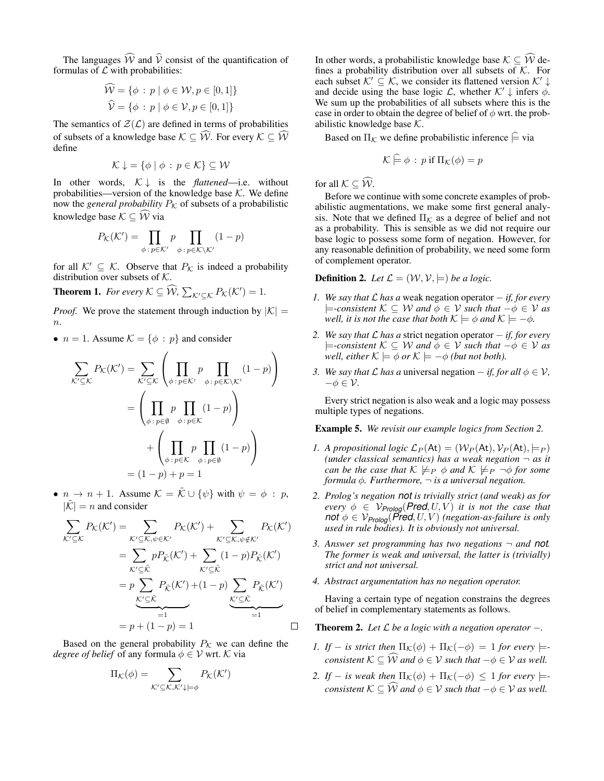The languages  $\widehat{W}$  and  $\widehat{V}$  consist of the quantification of formulas of  $\mathcal L$  with probabilities:

$$
\widehat{\mathcal{W}} = \{ \phi : p \mid \phi \in \mathcal{W}, p \in [0, 1] \}
$$

$$
\widehat{\mathcal{V}} = \{ \phi : p \mid \phi \in \mathcal{V}, p \in [0, 1] \}
$$

The semantics of  $\mathcal{Z}(\mathcal{L})$  are defined in terms of probabilities of subsets of a knowledge base  $\mathcal{K} \subseteq \widehat{\mathcal{W}}$ . For every  $\mathcal{K} \subseteq \widehat{\mathcal{W}}$ define

$$
\mathcal{K} \downarrow = \{ \phi \mid \phi : p \in \mathcal{K} \} \subseteq \mathcal{W}
$$

In other words,  $K \downarrow$  is the *flattened*—i.e. without probabilities—version of the knowledge base  $K$ . We define now the *general probability*  $P_K$  of subsets of a probabilistic knowledge base  $\mathcal{K} \subseteq \widehat{\mathcal{W}}$  via

$$
P_{\mathcal{K}}(\mathcal{K}') = \prod_{\phi \,:\, p \in \mathcal{K}'} p \prod_{\phi \,:\, p \in \mathcal{K} \setminus \mathcal{K}'} (1 - p)
$$

for all  $K' \subseteq K$ . Observe that  $P_K$  is indeed a probability distribution over subsets of K.

**Theorem 1.** For every  $K \subseteq \widehat{W}$ ,  $\sum_{K' \subseteq K} P_K(K') = 1$ .

*Proof.* We prove the statement through induction by  $|K|$  =  $\overline{n}$ .

•  $n = 1$ . Assume  $\mathcal{K} = \{\phi : p\}$  and consider

$$
\sum_{\mathcal{K}' \subseteq \mathcal{K}} P_{\mathcal{K}}(\mathcal{K}') = \sum_{\mathcal{K}' \subseteq \mathcal{K}} \left( \prod_{\phi : p \in \mathcal{K}'} p \prod_{\phi : p \in \mathcal{K} \setminus \mathcal{K}'} (1 - p) \right)
$$

$$
= \left( \prod_{\phi : p \in \emptyset} p \prod_{\phi : p \in \mathcal{K}} (1 - p) \right)
$$

$$
+ \left( \prod_{\phi : p \in \mathcal{K}} p \prod_{\phi : p \in \emptyset} (1 - p) \right)
$$

$$
= (1 - p) + p = 1
$$

•  $n \to n+1$ . Assume  $\mathcal{K} = \tilde{\mathcal{K}} \cup {\psi}$  with  $\psi = \phi : p$ ,  $|\tilde{\mathcal{K}}| = n$  and consider

$$
\sum_{\mathcal{K}' \subseteq \mathcal{K}} P_{\mathcal{K}}(\mathcal{K}') = \sum_{\mathcal{K}' \subseteq \mathcal{K}, \psi \in \mathcal{K}'} P_{\mathcal{K}}(\mathcal{K}') + \sum_{\mathcal{K}' \subseteq \mathcal{K}, \psi \notin \mathcal{K}'} P_{\mathcal{K}}(\mathcal{K}')
$$
\n
$$
= \sum_{\mathcal{K}' \subseteq \tilde{\mathcal{K}}} p P_{\tilde{\mathcal{K}}}(\mathcal{K}') + \sum_{\mathcal{K}' \subseteq \tilde{\mathcal{K}}} (1 - p) P_{\tilde{\mathcal{K}}}(\mathcal{K}')
$$
\n
$$
= p \sum_{\mathcal{K}' \subseteq \tilde{\mathcal{K}}} P_{\tilde{\mathcal{K}}}(\mathcal{K}') + (1 - p) \sum_{\mathcal{K}' \subseteq \tilde{\mathcal{K}}} P_{\tilde{\mathcal{K}}}(\mathcal{K}')
$$
\n
$$
= p + (1 - p) = 1
$$

Based on the general probability  $P_K$  we can define the *degree of belief* of any formula  $\phi \in V$  wrt. K via

$$
\Pi_{\mathcal{K}}(\phi) = \sum_{\mathcal{K}' \subseteq \mathcal{K}, \mathcal{K}' \downarrow \models \phi} P_{\mathcal{K}}(\mathcal{K}')
$$

In other words, a probabilistic knowledge base  $\mathcal{K} \subseteq \widehat{\mathcal{W}}$  defines a probability distribution over all subsets of  $K$ . For each subset  $K' \subseteq K$ , we consider its flattened version  $K' \downarrow$ and decide using the base logic  $\mathcal{L}$ , whether  $\mathcal{K}' \downarrow$  infers  $\phi$ . We sum up the probabilities of all subsets where this is the case in order to obtain the degree of belief of  $\phi$  wrt. the probabilistic knowledge base  $K$ .

Based on  $\Pi_{\mathcal{K}}$  we define probabilistic inference  $\varphi$  via

$$
\mathcal{K} \models \phi : p \text{ if } \Pi_{\mathcal{K}}(\phi) = p
$$

for all  $K \subseteq \widehat{W}$ .

Before we continue with some concrete examples of probabilistic augmentations, we make some first general analysis. Note that we defined  $\Pi_{\mathcal{K}}$  as a degree of belief and not as a probability. This is sensible as we did not require our base logic to possess some form of negation. However, for any reasonable definition of probability, we need some form of complement operator.

**Definition 2.** Let  $\mathcal{L} = (\mathcal{W}, \mathcal{V}, \models)$  be a logic.

- *1. We say that L has a* weak negation operator − *if, for every*  $\models$ -consistent  $K ⊆ W$  and  $\phi ∈ V$  such that  $\neg \phi ∈ V$  as *well, it is not the case that both*  $\mathcal{K} \models \phi$  *and*  $\mathcal{K} \models -\phi$ *.*
- *2. We say that* L *has a* strict negation operator − *if, for every*  $\models$ -consistent  $K ⊆ W$  and  $\phi ∈ V$  such that  $\neg \phi ∈ V$  as *well, either*  $K \models \phi$  *or*  $K \models -\phi$  *(but not both).*
- *3. We say that*  $\mathcal L$  *has a* universal negation  $-$  *if, for all*  $\phi \in \mathcal V$ *,*  $-\phi \in \mathcal{V}$ .

Every strict negation is also weak and a logic may possess multiple types of negations.

Example 5. *We revisit our example logics from Section 2.*

- *1. A propositional logic*  $\mathcal{L}_P(\mathsf{At}) = (\mathcal{W}_P(\mathsf{At}), \mathcal{V}_P(\mathsf{At}), \models_P)$ *(under classical semantics) has a weak negation* ¬ *as it can be the case that*  $K \not\models_P \phi$  *and*  $K \not\models_P \neg \phi$  *for some formula* φ*. Furthermore,* ¬ *is a universal negation.*
- *2. Prolog's negation not is trivially strict (and weak) as for every*  $\phi \in V_{\text{Prolog}}(\text{Pred}, U, V)$  *it is not the case that not*  $\phi \in V_{\text{Prolog}}(\text{Pred}, U, V)$  *(negation-as-failure is only used in rule bodies). It is obviously not universal.*
- *3. Answer set programming has two negations* ¬ *and not. The former is weak and universal, the latter is (trivially) strict and not universal.*
- *4. Abstract argumentation has no negation operator.*

Having a certain type of negation constrains the degrees of belief in complementary statements as follows.

Theorem 2. *Let* L *be a logic with a negation operator* −*.*

- *1. If* − *is strict then*  $\Pi_{\mathcal{K}}(\phi) + \Pi_{\mathcal{K}}(-\phi) = 1$  *for every*  $\models$ *consistent*  $K \subseteq \hat{W}$  *and*  $\phi \in V$  *such that*  $-\phi \in V$  *as well.*
- *2. If* − *is weak then*  $\Pi_{\mathcal{K}}(\phi) + \Pi_{\mathcal{K}}(-\phi) \leq 1$  *for every*  $\models$ *consistent*  $K \subseteq \widehat{W}$  *and*  $\phi \in V$  *such that*  $-\phi \in V$  *as well.*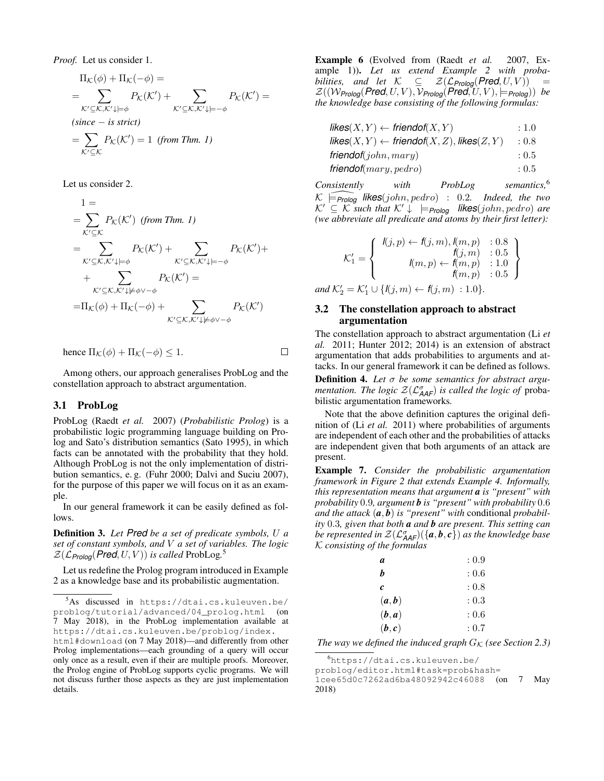*Proof.* Let us consider 1.

$$
\Pi_{\mathcal{K}}(\phi) + \Pi_{\mathcal{K}}(-\phi) =
$$
\n
$$
= \sum_{\mathcal{K}' \subseteq \mathcal{K}, \mathcal{K}' \downarrow \models \phi} P_{\mathcal{K}}(\mathcal{K}') + \sum_{\mathcal{K}' \subseteq \mathcal{K}, \mathcal{K}' \downarrow \models -\phi} P_{\mathcal{K}}(\mathcal{K}') =
$$
\n(since – is strict)\n
$$
= \sum_{\mathcal{K}' \subseteq \mathcal{K}} P_{\mathcal{K}}(\mathcal{K}') = 1 \text{ (from Thm. 1)}
$$

Let us consider 2.

$$
1 =
$$
\n
$$
= \sum_{\mathcal{K}' \subseteq \mathcal{K}} P_{\mathcal{K}}(\mathcal{K}') \text{ (from Thm. 1)}
$$
\n
$$
= \sum_{\mathcal{K}' \subseteq \mathcal{K}, \mathcal{K}' \downarrow \models \phi} P_{\mathcal{K}}(\mathcal{K}') + \sum_{\mathcal{K}' \subseteq \mathcal{K}, \mathcal{K}' \downarrow \models -\phi} P_{\mathcal{K}}(\mathcal{K}') +
$$
\n
$$
+ \sum_{\mathcal{K}' \subseteq \mathcal{K}, \mathcal{K}' \downarrow \not\models \phi \lor -\phi} P_{\mathcal{K}}(\mathcal{K}') =
$$
\n
$$
= \Pi_{\mathcal{K}}(\phi) + \Pi_{\mathcal{K}}(-\phi) + \sum_{\mathcal{K}' \subseteq \mathcal{K}, \mathcal{K}' \downarrow \not\models \phi \lor -\phi} P_{\mathcal{K}}(\mathcal{K}')
$$

hence 
$$
\Pi_{\mathcal{K}}(\phi) + \Pi_{\mathcal{K}}(-\phi) \leq 1
$$
.

Among others, our approach generalises ProbLog and the constellation approach to abstract argumentation.

 $\Box$ 

#### 3.1 ProbLog

ProbLog (Raedt *et al.* 2007) (*Probabilistic Prolog*) is a probabilistic logic programming language building on Prolog and Sato's distribution semantics (Sato 1995), in which facts can be annotated with the probability that they hold. Although ProbLog is not the only implementation of distribution semantics, e. g. (Fuhr 2000; Dalvi and Suciu 2007), for the purpose of this paper we will focus on it as an example.

In our general framework it can be easily defined as follows.

Definition 3. *Let Pred be a set of predicate symbols,* U *a set of constant symbols, and* V *a set of variables. The logic*  $\mathcal{Z}(\mathcal{L}_{\text{Prolog}}(\text{Pred}, U, V))$  is called ProbLog.<sup>5</sup>

Let us redefine the Prolog program introduced in Example 2 as a knowledge base and its probabilistic augmentation.

Example 6 (Evolved from (Raedt *et al.* 2007, Example 1)). *Let us extend Example 2 with probabilities, and let*  $K \subseteq \mathcal{Z}(\mathcal{L}_{\text{Prolog}}(\text{Pred}, U, V)) =$  $\mathcal{Z}((\mathcal{W}_{\text{Prolog}}(\text{Pred}, U, V), \mathcal{V}_{\text{Prolog}}(\text{Pred}, U, V), \models_{\text{Prolog}}))$  be *the knowledge base consisting of the following formulas:*

| $\mathsf{likes}(X, Y) \leftarrow \mathsf{friendof}(X, Y)$    | : 1.0 |
|--------------------------------------------------------------|-------|
| likes $(X, Y) \leftarrow$ friendof $(X, Z)$ , likes $(Z, Y)$ | : 0.8 |
| friendof(john,mary)                                          | : 0.5 |
| friendof( $mary, pedro$ )                                    | : 0.5 |

*Consistently with ProbLog semantics,*<sup>6</sup>  $\mathcal{K}$   $\widehat{=$  *Prolog* **likes**(john, pedro) : 0.2. Indeed, the two  $\mathcal{K}' \subseteq \mathcal{K}$  *such that*  $\mathcal{K}' \downarrow \models_{\mathsf{Prolog}}$  **likes**(john, pedro) are *(we abbreviate all predicate and atoms by their first letter):*

$$
\mathcal{K}'_1 = \left\{ \begin{array}{rcl} l(j, p) \leftarrow f(j, m), l(m, p) & : 0.8 \\ f(j, m) & : 0.5 \\ l(m, p) \leftarrow f(m, p) & : 1.0 \\ f(m, p) & : 0.5 \end{array} \right\}
$$
  
and  $\mathcal{K}'_2 = \mathcal{K}'_1 \cup \{ l(j, m) \leftarrow f(j, m) : 1.0 \}.$ 

#### 3.2 The constellation approach to abstract argumentation

The constellation approach to abstract argumentation (Li *et al.* 2011; Hunter 2012; 2014) is an extension of abstract argumentation that adds probabilities to arguments and attacks. In our general framework it can be defined as follows.

Definition 4. *Let* σ *be some semantics for abstract argumentation. The logic*  $Z(\mathcal{L}_{\mathsf{AAF}}^{\sigma})$  *is called the logic of* probabilistic argumentation frameworks*.*

Note that the above definition captures the original definition of (Li *et al.* 2011) where probabilities of arguments are independent of each other and the probabilities of attacks are independent given that both arguments of an attack are present.

Example 7. *Consider the probabilistic argumentation framework in Figure 2 that extends Example 4. Informally, this representation means that argument a is "present" with probability* 0.9*, argument b is "present" with probability* 0.6 *and the attack* (*a*, *b*) *is "present" with* conditional *probability* 0.3*, given that both a and b are present. This setting can* be represented in  $\mathcal{Z}({\mathcal{L}^\sigma_{\mathcal{A}\mathcal{A}\mathcal{F}})}(\{\bm{a},\bm{b},\bm{c}\})$  as the knowledge base K *consisting of the formulas*

| а     | : 0.9 |
|-------|-------|
| h     | :0.6  |
| c     | : 0.8 |
| (a,b) | : 0.3 |
| (b,a) | :0.6  |
| (b,c) | : 0.7 |

*The way we defined the induced graph*  $G_K$  *(see Section 2.3)* 

problog/editor.html#task=prob&hash=

<sup>5</sup>As discussed in https://dtai.cs.kuleuven.be/ problog/tutorial/advanced/04\_prolog.html (on 7 May 2018), in the ProbLog implementation available at https://dtai.cs.kuleuven.be/problog/index. html#download (on 7 May 2018)—and differently from other Prolog implementations—each grounding of a query will occur only once as a result, even if their are multiple proofs. Moreover,

the Prolog engine of ProbLog supports cyclic programs. We will not discuss further those aspects as they are just implementation details.

<sup>6</sup>https://dtai.cs.kuleuven.be/

<sup>1</sup>cee65d0c7262ad6ba48092942c46088 (on 7 May 2018)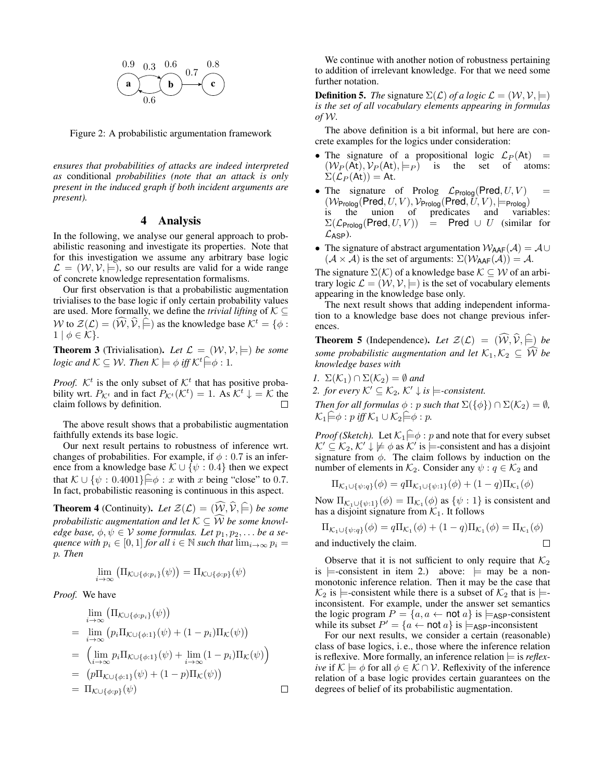

Figure 2: A probabilistic argumentation framework

*ensures that probabilities of attacks are indeed interpreted as* conditional *probabilities (note that an attack is only present in the induced graph if both incident arguments are present).*

## 4 Analysis

In the following, we analyse our general approach to probabilistic reasoning and investigate its properties. Note that for this investigation we assume any arbitrary base logic  $\mathcal{L} = (\mathcal{W}, \mathcal{V}, \models)$ , so our results are valid for a wide range of concrete knowledge representation formalisms.

Our first observation is that a probabilistic augmentation trivialises to the base logic if only certain probability values are used. More formally, we define the *trivial lifting* of  $K \subseteq$ W to  $\mathcal{Z}(\mathcal{L}) = (\mathcal{W}, \mathcal{V}, \models)$  as the knowledge base  $\mathcal{K}^t = \{\phi :$  $1 | \phi \in \mathcal{K}$ .

**Theorem 3** (Trivialisation). Let  $\mathcal{L} = (\mathcal{W}, \mathcal{V}, \models)$  be some *logic and*  $K \subseteq W$ *. Then*  $K \models \phi$  *iff*  $K^t \models \phi : 1$ *.* 

*Proof.*  $K^t$  is the only subset of  $K^t$  that has positive probability wrt.  $P_{\mathcal{K}^t}$  and in fact  $P_{\mathcal{K}^t}(\mathcal{K}^t) = 1$ . As  $\mathcal{K}^t \downarrow = \mathcal{K}$  the claim follows by definition. П

The above result shows that a probabilistic augmentation faithfully extends its base logic.

Our next result pertains to robustness of inference wrt. changes of probabilities. For example, if  $\phi$  : 0.7 is an inference from a knowledge base  $\mathcal{K} \cup \{\psi : 0.4\}$  then we expect that  $\mathcal{K} \cup {\psi : 0.4001} \models \phi : x$  with x being "close" to 0.7. In fact, probabilistic reasoning is continuous in this aspect.

**Theorem 4** (Continuity). Let  $\mathcal{Z}(\mathcal{L}) = (\widehat{\mathcal{W}}, \widehat{\mathcal{V}}, \widehat{\models})$  be some *probabilistic augmentation and let*  $K \subseteq \widehat{W}$  *be some knowledge base,*  $\phi, \psi \in V$  *some formulas. Let*  $p_1, p_2, \ldots$  *be a sequence with*  $p_i \in [0, 1]$  *for all*  $i \in \mathbb{N}$  *such that*  $\lim_{i \to \infty} p_i =$ p*. Then*

$$
\lim_{i \to \infty} \left( \Pi_{\mathcal{K} \cup \{\phi: p_i\}}(\psi) \right) = \Pi_{\mathcal{K} \cup \{\phi: p\}}(\psi)
$$

*Proof.* We have

$$
\lim_{i \to \infty} (\Pi_{\mathcal{K} \cup \{\phi: p_i\}}(\psi))
$$
\n
$$
= \lim_{i \to \infty} (p_i \Pi_{\mathcal{K} \cup \{\phi: 1\}}(\psi) + (1 - p_i) \Pi_{\mathcal{K}}(\psi))
$$
\n
$$
= \left( \lim_{i \to \infty} p_i \Pi_{\mathcal{K} \cup \{\phi: 1\}}(\psi) + \lim_{i \to \infty} (1 - p_i) \Pi_{\mathcal{K}}(\psi) \right)
$$
\n
$$
= (p \Pi_{\mathcal{K} \cup \{\phi: 1\}}(\psi) + (1 - p) \Pi_{\mathcal{K}}(\psi))
$$
\n
$$
= \Pi_{\mathcal{K} \cup \{\phi: p\}}(\psi)
$$

We continue with another notion of robustness pertaining to addition of irrelevant knowledge. For that we need some further notation.

**Definition 5.** *The* signature  $\Sigma(\mathcal{L})$  *of a logic*  $\mathcal{L} = (\mathcal{W}, \mathcal{V}, \models)$ *is the set of all vocabulary elements appearing in formulas of* W*.*

The above definition is a bit informal, but here are concrete examples for the logics under consideration:

- The signature of a propositional logic  $\mathcal{L}_P(\mathsf{At})$  =  $(W_P(\text{At}), V_P(\text{At}), \models_P)$  is the set of atoms:  $\Sigma(\mathcal{L}_P(\mathsf{At})) = \mathsf{At}.$
- The signature of Prolog  $\mathcal{L}_{\text{Prolog}}(\text{Pred}, U, V)$  =  $(\mathcal{W}_{\mathsf{Prolog}}(\mathsf{Pred}, U, V), \mathcal{V}_{\mathsf{Prolog}}(\mathsf{Pred}, \overline{U}, V), \models_{\mathsf{Prolog}})$ is the union of predicates and variables:  $\Sigma(\mathcal{L}_{\text{Prolog}}(\text{Pred}, U, V)) = \text{Pred} \cup U$  (similar for  $\mathcal{L}_{\text{ASP}}$ ).
- The signature of abstract argumentation  $W_{\text{AAF}}(\mathcal{A}) = \mathcal{A} \cup$  $(A \times A)$  is the set of arguments:  $\Sigma(W_{AAF}(A)) = A$ .

The signature  $\Sigma(K)$  of a knowledge base  $K \subset W$  of an arbitrary logic  $\mathcal{L} = (\mathcal{W}, \mathcal{V}, \models)$  is the set of vocabulary elements appearing in the knowledge base only.

The next result shows that adding independent information to a knowledge base does not change previous inferences.

**Theorem 5** (Independence). Let  $\mathcal{Z}(\mathcal{L}) = (\widehat{\mathcal{W}}, \widehat{\mathcal{V}}, \widehat{\models})$  be *some probabilistic augmentation and let*  $K_1, K_2 \subseteq \widehat{W}$  *be knowledge bases with*

- *1.*  $\Sigma(\mathcal{K}_1) \cap \Sigma(\mathcal{K}_2) = \emptyset$  and
- *2. for every*  $K' \subseteq K_2$ ,  $K' \downarrow$  *is*  $\models$ *-consistent.*

*Then for all formulas*  $\phi$  : p *such that*  $\Sigma({\{\phi\}}) \cap \Sigma(\mathcal{K}_2) = \emptyset$ *,*  $\mathcal{K}_1 \bigoplus \phi : p \text{ iff } \mathcal{K}_1 \cup \mathcal{K}_2 \bigoplus \phi : p.$ 

*Proof (Sketch).* Let  $K_1 \in \phi : p$  and note that for every subset  $\mathcal{K}' \subseteq \mathcal{K}_2, \mathcal{K}' \downarrow \not\models \phi$  as  $\mathcal{K}'$  is  $\models$ -consistent and has a disjoint signature from  $\phi$ . The claim follows by induction on the number of elements in  $\mathcal{K}_2$ . Consider any  $\psi : q \in \mathcal{K}_2$  and

$$
\Pi_{\mathcal{K}_1 \cup \{\psi:q\}}(\phi) = q \Pi_{\mathcal{K}_1 \cup \{\psi:1\}}(\phi) + (1-q) \Pi_{\mathcal{K}_1}(\phi)
$$

Now  $\Pi_{\mathcal{K}_1 \cup \{\psi : 1\}}(\phi) = \Pi_{\mathcal{K}_1}(\phi)$  as  $\{\psi : 1\}$  is consistent and has a disjoint signature from  $K_1$ . It follows

$$
\Pi_{\mathcal{K}_1 \cup \{\psi:q\}}(\phi) = q \Pi_{\mathcal{K}_1}(\phi) + (1-q) \Pi_{\mathcal{K}_1}(\phi) = \Pi_{\mathcal{K}_1}(\phi)
$$
  
and inductively the claim.

and inductively the claim.

Observe that it is not sufficient to only require that  $\mathcal{K}_2$ is  $\models$ -consistent in item 2.) above:  $\models$  may be a nonmonotonic inference relation. Then it may be the case that  $\mathcal{K}_2$  is  $\models$ -consistent while there is a subset of  $\mathcal{K}_2$  that is  $\models$ inconsistent. For example, under the answer set semantics the logic program  $P = \{a, a \leftarrow \text{not } a\}$  is  $\models_{\text{ASP}}\text{-consistent}$ while its subset  $P' = \{a \leftarrow \text{not } a\}$  is  $\models_{\text{ASP}}$ -inconsistent

For our next results, we consider a certain (reasonable) class of base logics, i. e., those where the inference relation is reflexive. More formally, an inference relation  $\models$  is *reflexive* if  $K \models \phi$  for all  $\phi \in \mathcal{K} \cap \mathcal{V}$ . Reflexivity of the inference relation of a base logic provides certain guarantees on the degrees of belief of its probabilistic augmentation.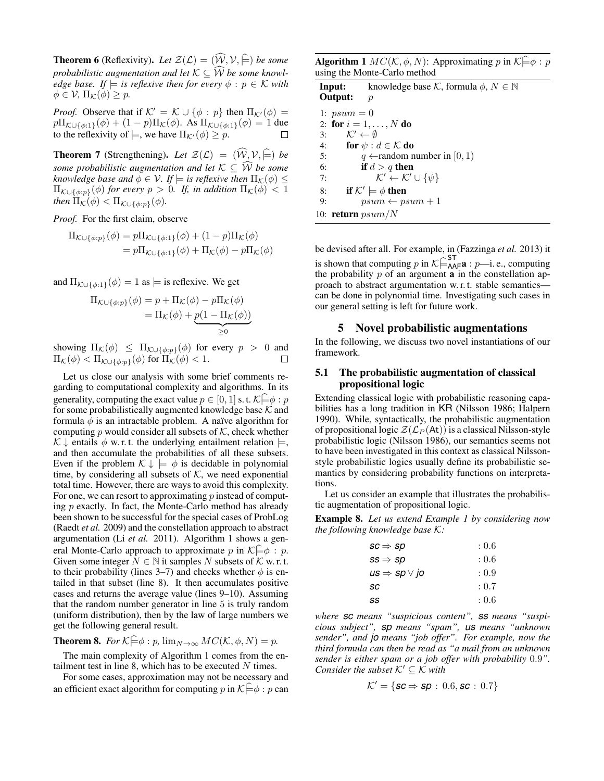**Theorem 6** (Reflexivity). Let  $\mathcal{Z}(\mathcal{L}) = (\widehat{\mathcal{W}}, \mathcal{V}, \widehat{\models})$  be some *probabilistic augmentation and let*  $K \subset \widehat{W}$  *be some knowledge base.* If  $\models$  *is reflexive then for every*  $\phi : p \in \mathcal{K}$  *with*  $\phi \in \mathcal{V}$ ,  $\Pi_{\mathcal{K}}(\phi) \geq p$ .

*Proof.* Observe that if  $K' = K \cup \{\phi : p\}$  then  $\Pi_{K'}(\phi) =$  $p\Pi_{\mathcal{K}\cup\{\phi:1\}}(\phi) + (1-p)\Pi_{\mathcal{K}}(\phi)$ . As  $\Pi_{\mathcal{K}\cup\{\phi:1\}}(\phi) = 1$  due to the reflexivity of  $\models$ , we have  $\Pi_{\mathcal{K}'}(\phi) \geq p$ .

**Theorem 7** (Strengthening). Let  $\mathcal{Z}(\mathcal{L}) = (\widehat{\mathcal{W}}, \mathcal{V}, \widehat{\models})$  be *some probabilistic augmentation and let*  $K \subseteq \widehat{W}$  *be some knowledge base and*  $\phi \in \mathcal{V}$ *. If*  $\models$  *is reflexive then*  $\Pi_{\mathcal{K}}(\phi) \leq$  $\Pi_{\mathcal{K}\cup\{\phi:p\}}(\phi)$  *for every*  $p > 0$ *. If, in addition*  $\Pi_{\mathcal{K}}(\phi) < 1$ *then*  $\Pi_{\mathcal{K}}(\phi) < \Pi_{\mathcal{K} \cup \{\phi: p\}}(\phi)$ .

*Proof.* For the first claim, observe

$$
\Pi_{\mathcal{K}\cup\{\phi:p\}}(\phi) = p\Pi_{\mathcal{K}\cup\{\phi:1\}}(\phi) + (1-p)\Pi_{\mathcal{K}}(\phi)
$$

$$
= p\Pi_{\mathcal{K}\cup\{\phi:1\}}(\phi) + \Pi_{\mathcal{K}}(\phi) - p\Pi_{\mathcal{K}}(\phi)
$$

and  $\Pi_{\mathcal{K}\cup{\{\phi:1\}}}(\phi) = 1$  as  $\models$  is reflexive. We get

$$
\Pi_{\mathcal{K}\cup\{\phi:p\}}(\phi) = p + \Pi_{\mathcal{K}}(\phi) - p\Pi_{\mathcal{K}}(\phi)
$$

$$
= \Pi_{\mathcal{K}}(\phi) + \underbrace{p(1 - \Pi_{\mathcal{K}}(\phi))}_{\geq 0}
$$

showing  $\Pi_{\mathcal{K}}(\phi) \leq \Pi_{\mathcal{K}\cup{\phi:p}}(\phi)$  for every  $p > 0$  and  $\Pi_{\mathcal{K}}(\phi) < \Pi_{\mathcal{K}\cup\{\phi:\pi\}}(\phi)$  for  $\Pi_{\mathcal{K}}(\phi) < 1$ .

Let us close our analysis with some brief comments regarding to computational complexity and algorithms. In its generality, computing the exact value  $p \in [0, 1]$  s. t.  $\mathcal{K} \models \phi : p$ for some probabilistically augmented knowledge base  $K$  and formula  $\phi$  is an intractable problem. A naïve algorithm for computing p would consider all subsets of  $K$ , check whether  $\mathcal{K} \downarrow$  entails  $\phi$  w. r. t. the underlying entailment relation  $\models$ , and then accumulate the probabilities of all these subsets. Even if the problem  $\mathcal{K} \downarrow \models \phi$  is decidable in polynomial time, by considering all subsets of  $K$ , we need exponential total time. However, there are ways to avoid this complexity. For one, we can resort to approximating  $p$  instead of computing  $p$  exactly. In fact, the Monte-Carlo method has already been shown to be successful for the special cases of ProbLog (Raedt *et al.* 2009) and the constellation approach to abstract argumentation (Li *et al.* 2011). Algorithm 1 shows a general Monte-Carlo approach to approximate p in  $K \ominus \phi : p$ . Given some integer  $N \in \mathbb{N}$  it samples N subsets of K w. r. t. to their probability (lines 3–7) and checks whether  $\phi$  is entailed in that subset (line 8). It then accumulates positive cases and returns the average value (lines 9–10). Assuming that the random number generator in line 5 is truly random (uniform distribution), then by the law of large numbers we get the following general result.

**Theorem 8.** *For*  $K \in \phi : p$ ,  $\lim_{N \to \infty} MC(K, \phi, N) = p$ .

The main complexity of Algorithm 1 comes from the entailment test in line 8, which has to be executed  $N$  times.

For some cases, approximation may not be necessary and an efficient exact algorithm for computing p in  $K \widehat{\models} \phi : p$  can

**Algorithm 1**  $MC(K, \phi, N)$ : Approximating p in  $K \stackrel{\triangle}{=} \phi : p$ using the Monte-Carlo method

|               | <b>Input:</b> knowledge base K, formula $\phi, N \in \mathbb{N}$ |
|---------------|------------------------------------------------------------------|
| Output:       | $\boldsymbol{p}$                                                 |
| 1: $psum = 0$ |                                                                  |
|               | 2: for $i = 1, , N$ do                                           |
| 3:            | $\mathcal{K}' \leftarrow \emptyset$                              |
| 4:            | for $\psi : d \in \mathcal{K}$ do                                |
| 5:            | $q \leftarrow$ random number in [0, 1]                           |
| 6:            | if $d > q$ then                                                  |
| 7:            | $\mathcal{K}' \leftarrow \mathcal{K}' \cup {\psi}$               |
| 8:            | if $K' \models \phi$ then                                        |
| 9:            | $psum \leftarrow psum + 1$                                       |
|               | 10: <b>return</b> $psum/N$                                       |

be devised after all. For example, in (Fazzinga *et al.* 2013) it is shown that computing p in  $K \models_{\mathsf{A}\mathsf{A}\mathsf{F}}^{\mathsf{ST}}$  : p—i. e., computing the probability  $\mathsf{R}$  of an example in the constallation on the probability  $p$  of an argument  $\bf{a}$  in the constellation approach to abstract argumentation w. r. t. stable semantics can be done in polynomial time. Investigating such cases in our general setting is left for future work.

#### 5 Novel probabilistic augmentations

In the following, we discuss two novel instantiations of our framework.

### 5.1 The probabilistic augmentation of classical propositional logic

Extending classical logic with probabilistic reasoning capabilities has a long tradition in KR (Nilsson 1986; Halpern 1990). While, syntactically, the probabilistic augmentation of propositional logic  $\mathcal{Z}(\mathcal{L}_P(\mathsf{At}))$  is a classical Nilsson-style probabilistic logic (Nilsson 1986), our semantics seems not to have been investigated in this context as classical Nilssonstyle probabilistic logics usually define its probabilistic semantics by considering probability functions on interpretations.

Let us consider an example that illustrates the probabilistic augmentation of propositional logic.

Example 8. *Let us extend Example 1 by considering now the following knowledge base* K*:*

| $\mathit{sc} \Rightarrow \mathit{sp}$ | : 0.6 |
|---------------------------------------|-------|
| $ss \Rightarrow sp$                   | : 0.6 |
| $us \Rightarrow sp \vee jo$           | : 0.9 |
| sc                                    | : 0.7 |
| SS                                    | : 0.6 |

*where sc means "suspicious content", ss means "suspicious subject", sp means "spam", us means "unknown sender", and jo means "job offer". For example, now the third formula can then be read as "a mail from an unknown sender is either spam or a job offer with probability* 0.9*". Consider the subset*  $K' \subset K$  *with* 

$$
\mathcal{K}' = \{ \textit{sc} \Rightarrow \textit{sp} \, : \, 0.6, \textit{sc} \, : \, 0.7 \}
$$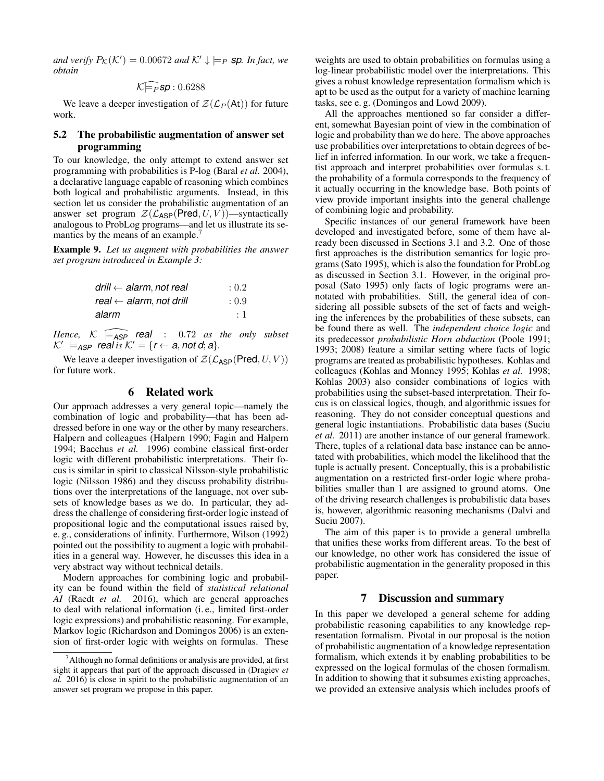*and verify*  $P_{\mathcal{K}}(\mathcal{K}') = 0.00672$  *and*  $\mathcal{K}' \downarrow \models_P$  **sp***. In fact, we obtain*

$$
\mathcal{K} \widehat{\models_P s} \mathbf{p} : 0.6288
$$

We leave a deeper investigation of  $\mathcal{Z}(\mathcal{L}_P (A_t))$  for future work.

## 5.2 The probabilistic augmentation of answer set programming

To our knowledge, the only attempt to extend answer set programming with probabilities is P-log (Baral *et al.* 2004), a declarative language capable of reasoning which combines both logical and probabilistic arguments. Instead, in this section let us consider the probabilistic augmentation of an answer set program  $\mathcal{Z}(\mathcal{L}_{\text{ASP}}(\text{Pred}, U, V))$ —syntactically analogous to ProbLog programs—and let us illustrate its semantics by the means of an example.<sup>7</sup>

Example 9. *Let us augment with probabilities the answer set program introduced in Example 3:*

| drill $\leftarrow$ alarm, not real | : 0.2   |
|------------------------------------|---------|
| real $\leftarrow$ alarm, not drill | : 0.9   |
| alarm                              | $\pm$ 1 |

*Hence,*  $K \models_{ASP}$  **real** : 0.72 *as the only subset*  $\mathcal{K}' \models_{\mathsf{ASP}} \mathsf{real}$  *is*  $\mathcal{K}' = \{r \leftarrow a, \text{not } d; a\}.$ 

We leave a deeper investigation of  $\mathcal{Z}(\mathcal{L}_{\mathsf{ASP}}(\mathsf{Pred}, U, V))$ for future work.

#### 6 Related work

Our approach addresses a very general topic—namely the combination of logic and probability—that has been addressed before in one way or the other by many researchers. Halpern and colleagues (Halpern 1990; Fagin and Halpern 1994; Bacchus *et al.* 1996) combine classical first-order logic with different probabilistic interpretations. Their focus is similar in spirit to classical Nilsson-style probabilistic logic (Nilsson 1986) and they discuss probability distributions over the interpretations of the language, not over subsets of knowledge bases as we do. In particular, they address the challenge of considering first-order logic instead of propositional logic and the computational issues raised by, e. g., considerations of infinity. Furthermore, Wilson (1992) pointed out the possibility to augment a logic with probabilities in a general way. However, he discusses this idea in a very abstract way without technical details.

Modern approaches for combining logic and probability can be found within the field of *statistical relational AI* (Raedt *et al.* 2016), which are general approaches to deal with relational information (i. e., limited first-order logic expressions) and probabilistic reasoning. For example, Markov logic (Richardson and Domingos 2006) is an extension of first-order logic with weights on formulas. These

weights are used to obtain probabilities on formulas using a log-linear probabilistic model over the interpretations. This gives a robust knowledge representation formalism which is apt to be used as the output for a variety of machine learning tasks, see e. g. (Domingos and Lowd 2009).

All the approaches mentioned so far consider a different, somewhat Bayesian point of view in the combination of logic and probability than we do here. The above approaches use probabilities over interpretations to obtain degrees of belief in inferred information. In our work, we take a frequentist approach and interpret probabilities over formulas s. t. the probability of a formula corresponds to the frequency of it actually occurring in the knowledge base. Both points of view provide important insights into the general challenge of combining logic and probability.

Specific instances of our general framework have been developed and investigated before, some of them have already been discussed in Sections 3.1 and 3.2. One of those first approaches is the distribution semantics for logic programs (Sato 1995), which is also the foundation for ProbLog as discussed in Section 3.1. However, in the original proposal (Sato 1995) only facts of logic programs were annotated with probabilities. Still, the general idea of considering all possible subsets of the set of facts and weighing the inferences by the probabilities of these subsets, can be found there as well. The *independent choice logic* and its predecessor *probabilistic Horn abduction* (Poole 1991; 1993; 2008) feature a similar setting where facts of logic programs are treated as probabilistic hypotheses. Kohlas and colleagues (Kohlas and Monney 1995; Kohlas *et al.* 1998; Kohlas 2003) also consider combinations of logics with probabilities using the subset-based interpretation. Their focus is on classical logics, though, and algorithmic issues for reasoning. They do not consider conceptual questions and general logic instantiations. Probabilistic data bases (Suciu *et al.* 2011) are another instance of our general framework. There, tuples of a relational data base instance can be annotated with probabilities, which model the likelihood that the tuple is actually present. Conceptually, this is a probabilistic augmentation on a restricted first-order logic where probabilities smaller than 1 are assigned to ground atoms. One of the driving research challenges is probabilistic data bases is, however, algorithmic reasoning mechanisms (Dalvi and Suciu 2007).

The aim of this paper is to provide a general umbrella that unifies these works from different areas. To the best of our knowledge, no other work has considered the issue of probabilistic augmentation in the generality proposed in this paper.

#### 7 Discussion and summary

In this paper we developed a general scheme for adding probabilistic reasoning capabilities to any knowledge representation formalism. Pivotal in our proposal is the notion of probabilistic augmentation of a knowledge representation formalism, which extends it by enabling probabilities to be expressed on the logical formulas of the chosen formalism. In addition to showing that it subsumes existing approaches, we provided an extensive analysis which includes proofs of

 $<sup>7</sup>$ Although no formal definitions or analysis are provided, at first</sup> sight it appears that part of the approach discussed in (Dragiev *et al.* 2016) is close in spirit to the probabilistic augmentation of an answer set program we propose in this paper.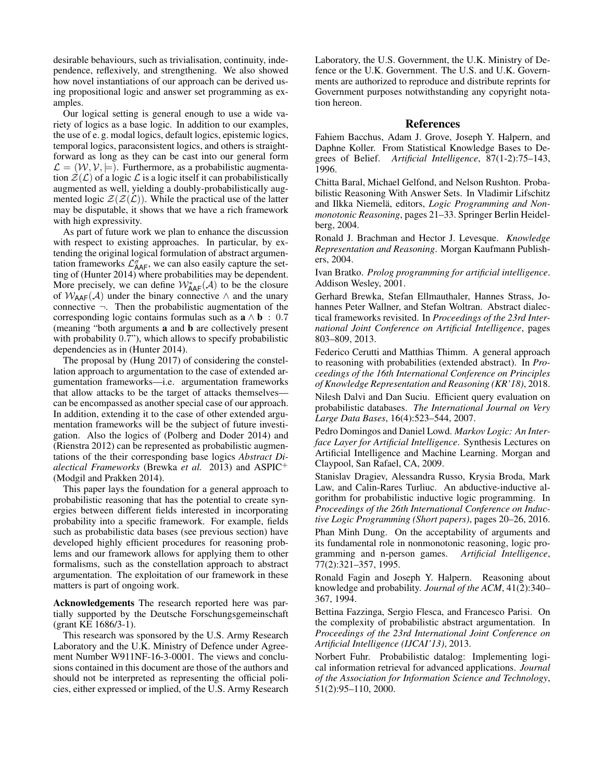desirable behaviours, such as trivialisation, continuity, independence, reflexively, and strengthening. We also showed how novel instantiations of our approach can be derived using propositional logic and answer set programming as examples.

Our logical setting is general enough to use a wide variety of logics as a base logic. In addition to our examples, the use of e. g. modal logics, default logics, epistemic logics, temporal logics, paraconsistent logics, and others is straightforward as long as they can be cast into our general form  $\mathcal{L} = (\mathcal{W}, \mathcal{V}, \models)$ . Furthermore, as a probabilistic augmentation  $\mathcal{Z}(\mathcal{L})$  of a logic  $\mathcal{L}$  is a logic itself it can probabilistically augmented as well, yielding a doubly-probabilistically augmented logic  $\mathcal{Z}(\mathcal{Z}(\mathcal{L}))$ . While the practical use of the latter may be disputable, it shows that we have a rich framework with high expressivity.

As part of future work we plan to enhance the discussion with respect to existing approaches. In particular, by extending the original logical formulation of abstract argumentation frameworks  $\mathcal{L}_{\mathsf{AAF}}^{\sigma}$ , we can also easily capture the setting of (Hunter 2014) where probabilities may be dependent. More precisely, we can define  $W^*_{\mathsf{AAF}}(\mathcal{A})$  to be the closure of  $W_{\text{AAF}}(\mathcal{A})$  under the binary connective  $\wedge$  and the unary connective  $\neg$ . Then the probabilistic augmentation of the corresponding logic contains formulas such as  $\mathbf{a} \wedge \mathbf{b}$  : 0.7 (meaning "both arguments a and b are collectively present with probability 0.7"), which allows to specify probabilistic dependencies as in (Hunter 2014).

The proposal by (Hung 2017) of considering the constellation approach to argumentation to the case of extended argumentation frameworks—i.e. argumentation frameworks that allow attacks to be the target of attacks themselves can be encompassed as another special case of our approach. In addition, extending it to the case of other extended argumentation frameworks will be the subject of future investigation. Also the logics of (Polberg and Doder 2014) and (Rienstra 2012) can be represented as probabilistic augmentations of the their corresponding base logics *Abstract Dialectical Frameworks* (Brewka *et al.* 2013) and ASPIC<sup>+</sup> (Modgil and Prakken 2014).

This paper lays the foundation for a general approach to probabilistic reasoning that has the potential to create synergies between different fields interested in incorporating probability into a specific framework. For example, fields such as probabilistic data bases (see previous section) have developed highly efficient procedures for reasoning problems and our framework allows for applying them to other formalisms, such as the constellation approach to abstract argumentation. The exploitation of our framework in these matters is part of ongoing work.

Acknowledgements The research reported here was partially supported by the Deutsche Forschungsgemeinschaft (grant KE 1686/3-1).

This research was sponsored by the U.S. Army Research Laboratory and the U.K. Ministry of Defence under Agreement Number W911NF-16-3-0001. The views and conclusions contained in this document are those of the authors and should not be interpreted as representing the official policies, either expressed or implied, of the U.S. Army Research Laboratory, the U.S. Government, the U.K. Ministry of Defence or the U.K. Government. The U.S. and U.K. Governments are authorized to reproduce and distribute reprints for Government purposes notwithstanding any copyright notation hereon.

#### References

Fahiem Bacchus, Adam J. Grove, Joseph Y. Halpern, and Daphne Koller. From Statistical Knowledge Bases to Degrees of Belief. *Artificial Intelligence*, 87(1-2):75–143, 1996.

Chitta Baral, Michael Gelfond, and Nelson Rushton. Probabilistic Reasoning With Answer Sets. In Vladimir Lifschitz and Ilkka Niemelä, editors, Logic Programming and Non*monotonic Reasoning*, pages 21–33. Springer Berlin Heidelberg, 2004.

Ronald J. Brachman and Hector J. Levesque. *Knowledge Representation and Reasoning*. Morgan Kaufmann Publishers, 2004.

Ivan Bratko. *Prolog programming for artificial intelligence*. Addison Wesley, 2001.

Gerhard Brewka, Stefan Ellmauthaler, Hannes Strass, Johannes Peter Wallner, and Stefan Woltran. Abstract dialectical frameworks revisited. In *Proceedings of the 23rd International Joint Conference on Artificial Intelligence*, pages 803–809, 2013.

Federico Cerutti and Matthias Thimm. A general approach to reasoning with probabilities (extended abstract). In *Proceedings of the 16th International Conference on Principles of Knowledge Representation and Reasoning (KR'18)*, 2018.

Nilesh Dalvi and Dan Suciu. Efficient query evaluation on probabilistic databases. *The International Journal on Very Large Data Bases*, 16(4):523–544, 2007.

Pedro Domingos and Daniel Lowd. *Markov Logic: An Interface Layer for Artificial Intelligence*. Synthesis Lectures on Artificial Intelligence and Machine Learning. Morgan and Claypool, San Rafael, CA, 2009.

Stanislav Dragiev, Alessandra Russo, Krysia Broda, Mark Law, and Calin-Rares Turliuc. An abductive-inductive algorithm for probabilistic inductive logic programming. In *Proceedings of the 26th International Conference on Inductive Logic Programming (Short papers)*, pages 20–26, 2016.

Phan Minh Dung. On the acceptability of arguments and its fundamental role in nonmonotonic reasoning, logic programming and n-person games. *Artificial Intelligence*, 77(2):321–357, 1995.

Ronald Fagin and Joseph Y. Halpern. Reasoning about knowledge and probability. *Journal of the ACM*, 41(2):340– 367, 1994.

Bettina Fazzinga, Sergio Flesca, and Francesco Parisi. On the complexity of probabilistic abstract argumentation. In *Proceedings of the 23rd International Joint Conference on Artificial Intelligence (IJCAI'13)*, 2013.

Norbert Fuhr. Probabilistic datalog: Implementing logical information retrieval for advanced applications. *Journal of the Association for Information Science and Technology*, 51(2):95–110, 2000.